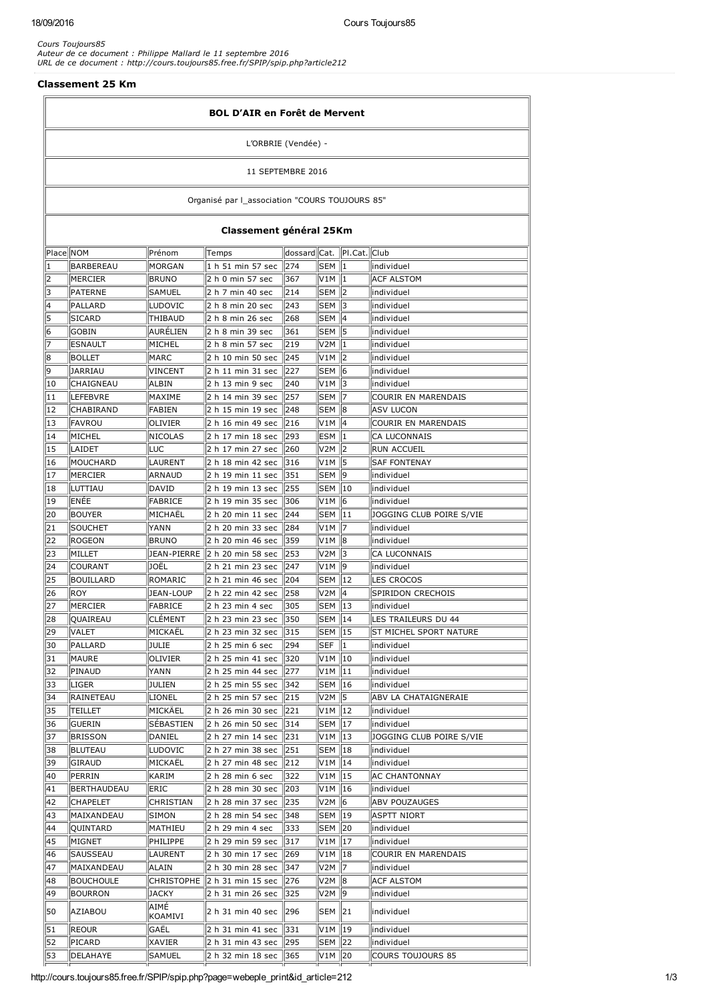*Cours Toujours85 Auteur de ce document : Philippe Mallard le 11 septembre 2016 URL de ce document : http://cours.toujours85.free.fr/SPIP/spip.php?article212*

### Classement 25 Km

| <b>BOL D'AIR en Forêt de Mervent</b>           |                   |                   |                                                  |                             |                                 |    |                          |  |
|------------------------------------------------|-------------------|-------------------|--------------------------------------------------|-----------------------------|---------------------------------|----|--------------------------|--|
| L'ORBRIE (Vendée) -                            |                   |                   |                                                  |                             |                                 |    |                          |  |
| 11 SEPTEMBRE 2016                              |                   |                   |                                                  |                             |                                 |    |                          |  |
| Organisé par l_association "COURS TOUJOURS 85" |                   |                   |                                                  |                             |                                 |    |                          |  |
|                                                |                   |                   | Classement général 25Km                          |                             |                                 |    |                          |  |
| Place NOM                                      |                   | Prénom            | Temps                                            | dossard Cat.   PI.Cat. Club |                                 |    |                          |  |
| 1                                              | BARBEREAU         | <b>MORGAN</b>     | 1 h 51 min 57 sec 274                            |                             | ISEM II1                        |    | lindividuel              |  |
| 2                                              | MERCIER           | <b>BRUNO</b>      | 2 h 0 min 57 sec                                 | 367                         | V1M   1                         |    | <b>ACF ALSTOM</b>        |  |
| 3                                              | PATERNE           | SAMUEL            | 2 h 7 min 40 sec                                 | 214                         | SEM   2                         |    | individuel               |  |
| 4                                              | PALLARD           | LUDOVIC           | 2 h 8 min 20 sec                                 | 243                         | SEM 13                          |    | individuel               |  |
| 15                                             | <b>SICARD</b>     | <b>THIBAUD</b>    | 2 h 8 min 26 sec                                 | 268                         | SEM                             | 14 | individuel               |  |
| 6                                              | <b>GOBIN</b>      | AURÉLIEN          | 2 h 8 min 39 sec                                 | 361                         | SEM 15                          |    | individuel               |  |
| 7                                              | <b>ESNAULT</b>    | MICHEL            | 2 h 8 min 57 sec                                 | 219                         |                                 |    | individuel               |  |
| 8                                              | BOLLET            | MARC              | 2 h 10 min 50 sec                                | 245                         | V1M   2                         |    | individuel               |  |
| 9                                              | JARRIAU           | VINCENT           | 2 h 11 min 31 sec                                | $\parallel$ 227             | SEM   6                         |    | individuel               |  |
| 10                                             | CHAIGNEAU         | <b>ALBIN</b>      | 2 h 13 min 9 sec                                 | 240                         |                                 |    | lindividuel              |  |
| 11                                             | LEFEBVRE          | MAXIME            | 2 h 14 min 39 sec                                | 257                         | SEM                             | 17 | COURIR EN MARENDAIS      |  |
| 12                                             | <b>CHABIRAND</b>  | FABIEN            | 2 h 15 min 19 sec                                | 248                         | ISEM II8                        |    | <b>ASV LUCON</b>         |  |
| 13                                             | FAVROU            | OLIVIER           | 2 h 16 min 49 sec                                | 216                         | V1M   4                         |    | COURIR EN MARENDAIS      |  |
| 14                                             | MICHEL            | NICOLAS           | 2 h 17 min 18 sec                                | 293                         | ESM   1                         |    | CA LUCONNAIS             |  |
| 15                                             | LAIDET            | LUC               | 2 h 17 min 27 sec                                | $\parallel$ 260             | V2M   2                         |    | RUN ACCUEIL              |  |
| 16                                             | MOUCHARD          | LAURENT           | 2 h 18 min 42 sec   316                          |                             |                                 |    | <b>SAF FONTENAY</b>      |  |
| 17                                             | MERCIER           | ARNAUD            | 2 h 19 min 11 sec   351                          |                             | SEM                             | 19 | individuel               |  |
| 18                                             | luttiau           | DAVID             | 2 h 19 min 13 sec                                | $\parallel$ 255             | SEM 10                          |    | individuel               |  |
| 19                                             | ENÉE              | <b>FABRICE</b>    | 2 h 19 min 35 sec                                | 306                         | V1M                             | 6  | individuel               |  |
| 20                                             | BOUYER            | MICHAEL           | 2 h 20 min 11 sec                                | 244                         | SEM   11                        |    | JOGGING CLUB POIRE S/VIE |  |
| 21                                             | SOUCHET           | YANN              | 2 h 20 min 33 sec                                | $\parallel$ 284             | V1M                             | 17 | individuel               |  |
| 22                                             | ROGEON            | <b>BRUNO</b>      | 2 h 20 min 46 sec                                | $\parallel$ 359             |                                 |    | individuel               |  |
| 23                                             | MILLET            | JEAN-PIERRE       | 253 20 min 58 sec                                |                             | V2M                             | 13 | CA LUCONNAIS             |  |
| 24                                             | COURANT           | JOËL              | 2 h 21 min 23 sec                                | 247                         |                                 |    | individuel               |  |
| 25                                             | <b>BOUILLARD</b>  | ROMARIC           | 2 h 21 min 46 sec                                | 204                         | <b>SEM 12</b>                   |    | <b>LES CROCOS</b>        |  |
| 26                                             | ROY               | <b>JEAN-LOUP</b>  | 2 h 22 min 42 sec  258                           |                             |                                 |    | Spiridon Crechois        |  |
| 27                                             | MERCIER           | <b>FABRICE</b>    | 2 h 23 min 4 sec                                 | 305                         | SEM 13                          |    | individuel               |  |
| 28                                             | <b>QUAIREAU</b>   | <b>CLEMENT</b>    | 2 h 23 min 23 sec 350                            |                             | SEM 14                          |    | LES TRAILEURS DU 44      |  |
| $\overline{29}$                                | VALET             | MICKAËL           | 2 h 23 min 32 sec 315                            |                             | $SEM$ 15                        |    | ST MICHEL SPORT NATURE   |  |
| 30                                             | PALLARD           | JULIE             | 2 h 25 min 6 sec                                 | 294                         | $\overline{\textsf{SEF}}$ $\ 1$ |    | individuel               |  |
| 31                                             | MAURE             | <b>OLIVIER</b>    | 2 h 25 min 41 sec   320                          |                             | V1M   10                        |    | individuel               |  |
| 32                                             | PINAUD            | YANN              | 2 h 25 min 44 sec 277                            |                             | V1M   11                        |    | individuel               |  |
| 33                                             | LIGER             | <b>JULIEN</b>     | 2 h 25 min 55 sec   342                          |                             | SEM   16                        |    | individuel               |  |
| 34                                             | RAINETEAU         | LIONEL<br>MICKÄEL | 2 h 25 min 57 sec   215<br>2 h 26 min 30 sec 221 |                             |                                 |    | ABV LA CHATAIGNERAIE     |  |
| 35                                             | TEILLET<br>GUERIN | SÉBASTIEN         | 2 h 26 min 50 sec   314                          |                             | V1M 12<br>SEM 17                |    | individuel<br>individuel |  |
| 36<br>37                                       | <b>BRISSON</b>    | DANIEL            | 2 h 27 min 14 sec 231                            |                             | V1M   13                        |    | JOGGING CLUB POIRE S/VIE |  |
| 38                                             | <b>BLUTEAU</b>    | LUDOVIC           | 2 h 27 min 38 sec 251                            |                             | SEM   18                        |    | individuel               |  |
| 39                                             | GIRAUD            | MICKAËL           | 2 h 27 min 48 sec   212                          |                             | V1M   14                        |    | individuel               |  |
| 40                                             | PERRIN            | KARIM             | 2 h 28 min 6 sec                                 | 322                         | V1M   15                        |    | <b>AC CHANTONNAY</b>     |  |
| 41                                             | BERTHAUDEAU       | <b>ERIC</b>       | 2 h 28 min 30 sec 203                            |                             | V1M   16                        |    | individuel               |  |
| 42                                             | <b>CHAPELET</b>   | CHRISTIAN         | 2 h 28 min 37 sec   235                          |                             |                                 |    | <b>ABV POUZAUGES</b>     |  |
| 43                                             | MAIXANDEAU        | SIMON             | 2 h 28 min 54 sec                                | 348                         | SEM   19                        |    | <b>ASPTT NIORT</b>       |  |
| 44                                             | QUINTARD          | MATHIEU           | 2 h 29 min 4 sec                                 | 333                         | SEM   20                        |    | individuel               |  |
| 45                                             | MIGNET            | PHILIPPE          | 2 h 29 min 59 sec   317                          |                             | V1M   17                        |    | individuel               |  |
| 46                                             | SAUSSEAU          | LAURENT           | 2 h 30 min 17 sec 269                            |                             | V1M   18                        |    | COURIR EN MARENDAIS      |  |
| 47                                             | MAIXANDEAU        | ALAIN             | 2 h 30 min 28 sec 347                            |                             |                                 |    | individuel               |  |
| 48                                             | <b>BOUCHOULE</b>  | <b>CHRISTOPHE</b> | 2 h 31 min 15 sec 276                            |                             |                                 |    | <b>ACF ALSTOM</b>        |  |
| 49                                             | <b>BOURRON</b>    | <b>JACKY</b>      | 2 h 31 min 26 sec                                | 325                         |                                 |    | individuel               |  |
|                                                |                   | AIMÉ              |                                                  |                             |                                 |    |                          |  |
| 50                                             | AZIABOU           | KOAMIVI           | 2 h 31 min 40 sec   296                          |                             | SEM 121                         |    | individuel               |  |
| 51                                             | <b>REOUR</b>      | GAËL              | 2 h 31 min 41 sec   331                          |                             | V1M   19                        |    | individuel               |  |
| 52                                             | PICARD            | XAVIER            | 2 h 31 min 43 sec 295                            |                             | SEM 22                          |    | individuel               |  |
| 53                                             | DELAHAYE          | SAMUEL            | 2 h 32 min 18 sec   365                          |                             | V <sub>1</sub> M 20             |    | <b>COURS TOUJOURS 85</b> |  |
|                                                |                   |                   |                                                  |                             |                                 |    |                          |  |

http://cours.toujours85.free.fr/SPIP/spip.php?page=webeple\_print&id\_article=212 1/3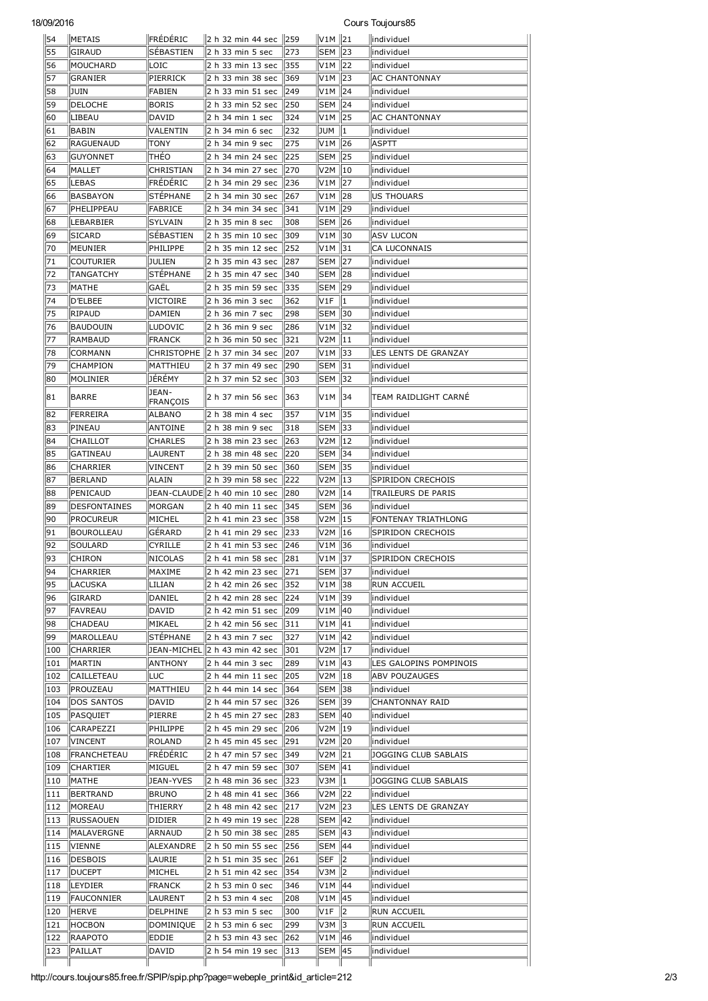## 18/09/2016 Cours Toujours85

| 54         | <b>METAIS</b>       | FRÉDÉRIC                 | 2 h 32 min 44 sec 1259                 |     | V1M 21              |                | llindividuel             |
|------------|---------------------|--------------------------|----------------------------------------|-----|---------------------|----------------|--------------------------|
| 55         | GIRAUD              | SÉBASTIEN                | 2 h 33 min 5 sec                       | 273 | <b>SEM 23</b>       |                | individuel               |
| 56         | MOUCHARD            | LOIC                     | 2 h 33 min 13 sec                      | 355 | V1M 22              |                | individuel               |
| 57         | GRANIER             | PIERRICK                 | 2 h 33 min 38 sec                      | 369 | V1M 23              |                | <b>AC CHANTONNAY</b>     |
| 58         | JUIN                | FABIEN                   | 2 h 33 min 51 sec                      | 249 | V1M   24            |                | individuel               |
| 59         | DELOCHE             | <b>BORIS</b>             | 2 h 33 min 52 sec                      | 250 | <b>SEM 24</b>       |                | individuel               |
| 60         | LIBEAU              | DAVID                    | 2 h 34 min 1 sec                       | 324 |                     |                | AC CHANTONNAY            |
| 61         | BABIN               | VALENTIN                 | 2 h 34 min 6 sec                       | 232 | JUM                 | 11             | individuel               |
| 62         | RAGUENAUD           | <b>TONY</b>              | 2 h 34 min 9 sec                       | 275 | V1M 26              |                | <b>ASPTT</b>             |
| 63         | <b>GUYONNET</b>     | THEO                     | 2 h 34 min 24 sec                      | 225 | SEM 25              |                | lindividuel              |
| 64         | MALLET              | CHRISTIAN                | 2 h 34 min 27 sec                      | 270 | V2M   10            |                | individuel               |
| 65         | LEBAS               | FRÉDÉRIC                 | 2 h 34 min 29 sec                      | 236 |                     |                | individuel               |
| 66         | <b>BASBAYON</b>     | <b>STÉPHANE</b>          | 2 h 34 min 30 sec                      | 267 | V1M                 | 28             | <b>US THOUARS</b>        |
| 67         | PHELIPPEAU          | FABRICE                  | 2 h 34 min 34 sec                      | 341 | V1M                 | 29             | individuel               |
| 68         | LEBARBIER           | <b>SYLVAIN</b>           | 2 h 35 min 8 sec                       | 308 | <b>SEM</b>          | 26             | individuel               |
| 69         | SICARD              | SEBASTIEN                | 2 h 35 min 10 sec                      | 309 | V1M                 | 130            | <b>ASV LUCON</b>         |
| 70         | MEUNIER             | PHILIPPE                 | 2 h 35 min 12 sec                      | 252 | V1M   31            |                | CA LUCONNAIS             |
| 71         | Couturier           | JULIEN                   | 2 h 35 min 43 sec                      | 287 | SEM 127             |                | individuel               |
| 72         | <b>TANGATCHY</b>    | <b>STÉPHANE</b>          |                                        | 340 | SEM                 | 28             | individuel               |
|            |                     |                          | 2 h 35 min 47 sec                      |     |                     |                |                          |
| 73         | MATHE               | GAËL                     | 2 h 35 min 59 sec                      | 335 | SEM 29              |                | individuel               |
| 74         | D'ELBEE             | VICTOIRE                 | 2 h 36 min 3 sec                       | 362 | V1F                 | 11             | individuel               |
| 75         | <b>RIPAUD</b>       | DAMIEN                   | 2 h 36 min 7 sec                       | 298 | SEM 130             |                | lindividuel              |
| 76         | BAUDOUIN            | LUDOVIC                  | 2 h 36 min 9 sec                       | 286 | V1M   32            |                | individuel               |
| 77         | RAMBAUD             | <b>FRANCK</b>            | 2 h 36 min 50 sec                      | 321 | V2M   11            |                | individuel               |
| 78         | <b>CORMANN</b>      |                          | CHRISTOPHE 2 h 37 min 34 sec           | 207 | V1M                 | 33             | LES LENTS DE GRANZAY     |
| 79         | CHAMPION            | MATTHIEU                 | 2 h 37 min 49 sec                      | 290 | SEM 131             |                | individuel               |
| 80         | MOLINIER            | JÉRÉMY                   | 2 h 37 min 52 sec                      | 303 | SEM   32            |                | individuel               |
| 81         | BARRE               | JEAN-<br><b>FRANÇOIS</b> | 2 h 37 min 56 sec                      | 363 | V <sub>1</sub> M 34 |                | TEAM RAIDLIGHT CARNÉ     |
| 82         | FERREIRA            | ALBANO                   | 2 h 38 min 4 sec                       | 357 | V1M 35              |                | individuel               |
| 83         | PINEAU              | ANTOINE                  | 2 h 38 min 9 sec                       | 318 | SEM   33            |                | individuel               |
| 84         | CHAILLOT            | CHARLES                  | 2 h 38 min 23 sec                      | 263 | V2M   12            |                | individuel               |
| 85         | GATINEAU            | LAURENT                  | 2 h 38 min 48 sec                      | 220 | SEM   34            |                | individuel               |
| 86         | <b>CHARRIER</b>     | <b>VINCENT</b>           | 2 h 39 min 50 sec                      | 360 | <b>SEM 35</b>       |                | individuel               |
| 87         | BERLAND             | <b>ALAIN</b>             | 2 h 39 min 58 sec                      | 222 | V2M   13            |                | SPIRIDON CRECHOIS        |
| 88         | PENICAUD            |                          | JEAN-CLAUDE  2 h 40 min 10 sec         | 280 | V2M 14              |                | TRAILEURS DE PARIS       |
|            |                     |                          |                                        |     |                     |                |                          |
|            |                     |                          |                                        |     |                     |                |                          |
| 89         | <b>DESFONTAINES</b> | MORGAN                   | 2 h 40 min 11 sec                      | 345 | SEM                 | 36             | individuel               |
| 90         | <b>PROCUREUR</b>    | MICHEL                   | 2 h 41 min 23 sec                      | 358 | V2M   15            |                | FONTENAY TRIATHLONG      |
| 91         | BOUROLLEAU          | GERARD                   | 2 h 41 min 29 sec                      | 233 | V2M ∥16             |                | SPIRIDON CRECHOIS        |
| 92         | SOULARD             | CYRILLE                  | 2 h 41 min 53 sec                      | 246 | V1M 36              |                | individuel               |
| 93         | <b>CHIRON</b>       | <b>NICOLAS</b>           | 2 h 41 min 58 sec                      | 281 | V1M 37              |                | SPIRIDON CRECHOIS        |
| 94         | <b>CHARRIER</b>     | MAXIME                   | 2 h 42 min 23 sec 271                  |     | <b>SEM 37</b>       |                | individuel               |
| 95         | LACUSKA             | LILIAN                   | 2 h 42 min 26 sec                      | 352 | V1M                 | 38             | <b>RUN ACCUEIL</b>       |
| 96         | GIRARD              | DANIEL                   | 2 h 42 min 28 sec                      | 224 | V1M   39            |                | individuel               |
| 97         | FAVREAU             | DAVID                    | 2 h 42 min 51 sec                      | 209 | V1M   40            |                | individuel               |
| 98         | <b>CHADEAU</b>      | MIKAEL                   | 2 h 42 min 56 sec                      | 311 | V1M                 | 41             | individuel               |
| 99         | MAROLLEAU           | STÉPHANE                 | 2 h 43 min 7 sec                       | 327 | V1M $ 42$           |                | individuel               |
| 100        | <b>CHARRIER</b>     |                          | JEAN-MICHEL 2 h 43 min 42 sec          | 301 | V2M                 | 17             | individuel               |
| 101        | MARTIN              | <b>ANTHONY</b>           | 2 h 44 min 3 sec                       | 289 | V1M   43            |                | LES GALOPINS POMPINOIS   |
| 102        | CAILLETEAU          | LUC                      | 2 h 44 min 11 sec                      | 205 | V2M   18            |                | <b>ABV POUZAUGES</b>     |
| 103        | PROUZEAU            | MATTHIEU                 | 2 h 44 min 14 sec                      | 364 | <b>SEM 38</b>       |                | individuel               |
| 104        | <b>DOS SANTOS</b>   | DAVID                    | 2 h 44 min 57 sec                      | 326 | SEM                 | 39             | <b>CHANTONNAY RAID</b>   |
| 105        | PASQUIET            | PIERRE                   | 2 h 45 min 27 sec                      | 283 | SEM                 | $\parallel$ 40 | individuel               |
| 106        | CARAPEZZI           | PHILIPPE                 | 2 h 45 min 29 sec                      | 206 | V2M                 | 19             | individuel               |
| 107        | VINCENT             | ROLAND                   | 2 h 45 min 45 sec                      | 291 | V2M                 | 20             | individuel               |
| 108        | FRANCHETEAU         | <b>FRÉDÉRIC</b>          | 2 h 47 min 57 sec                      | 349 |                     |                | JOGGING CLUB SABLAIS     |
| 109        | CHARTIER            | MIGUEL                   | 2 h 47 min 59 sec                      | 307 | SEM   41            |                | individuel               |
| 110        | MATHE               | JEAN-YVES                | 2 h 48 min 36 sec                      | 323 | V3M                 | 11.            | JOGGING CLUB SABLAIS     |
| 111        | BERTRAND            | <b>BRUNO</b>             | 2 h 48 min 41 sec                      | 366 |                     |                | individuel               |
| 112        | MOREAU              | THIERRY                  | 2 h 48 min 42 sec                      | 217 | V2M                 | 23             | LES LENTS DE GRANZAY     |
| 113        | <b>RUSSAOUEN</b>    | <b>DIDIER</b>            | 2 h 49 min 19 sec                      | 228 | SEM   42            |                | individuel               |
| 114        | MALAVERGNE          | ARNAUD                   | 2 h 50 min 38 sec                      | 285 | SEM   43            |                | individuel               |
| 115        | VIENNE              | ALEXANDRE                | 2 h 50 min 55 sec                      | 256 | <b>SEM   44</b>     |                | individuel               |
| 116        | DESBOIS             | LAURIE                   | 2 h 51 min 35 sec                      | 261 | SEF                 | 12             | individuel               |
| 117        | <b>DUCEPT</b>       | MICHEL                   | 2 h 51 min 42 sec                      | 354 |                     |                | individuel               |
| 118        | LEYDIER             | <b>FRANCK</b>            | 2 h 53 min 0 sec                       | 346 | V1M   44            |                | individuel               |
| 119        | <b>FAUCONNIER</b>   | LAURENT                  | 2 h 53 min 4 sec                       | 208 | V1M   45            |                | individuel               |
| 120        | <b>HERVE</b>        | DELPHINE                 | 2 h 53 min 5 sec                       | 300 | V1F                 | 12             | <b>RUN ACCUEIL</b>       |
| 121        | HOCBON              | DOMINIQUE                |                                        | 299 | V3M   3             |                | <b>RUN ACCUEIL</b>       |
|            |                     |                          | 2 h 53 min 6 sec                       | 262 |                     |                |                          |
| 122<br>123 | RAAPOTO<br>PAILLAT  | EDDIE<br>DAVID           | 2 h 53 min 43 sec<br>2 h 54 min 19 sec | 313 | V1M   46<br>SEM 45  |                | individuel<br>individuel |

http://cours.toujours85.free.fr/SPIP/spip.php?page=webeple\_print&id\_article=212